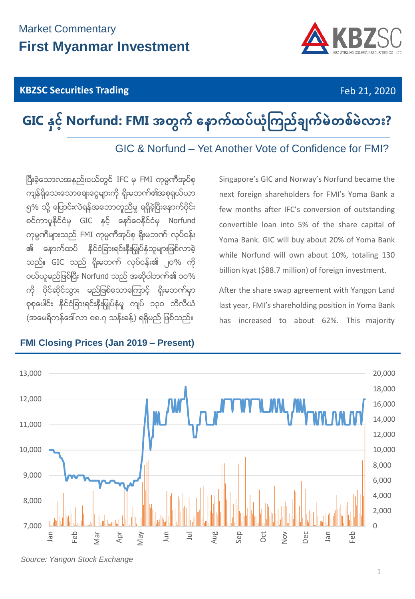## **KBZSC Securities Trading Feb 21, 2020**



# **GIC နှင့် Norfund: FMI အတွက် နောက်ထပ်ယုံကြည်ချက်မဲတစ်မဲလား?**

GIC & Norfund – Yet Another Vote of Confidence for FMI?

ပြီးခဲ့သောလအနည်းငယ်တွင် IFC မှ FMI ကုမ္ပဏီအုပ်စု ကျန်ရှိသေးသောချေးငွေများကို ရိုးမဘက်၏အစုရှယ်ယာ ၅% သို့ ပြောင်းလဲရန်အဘောတူညီမှ ရရှိခဲ့ပြီးနောက်ပိုင်း စင်ကာပူနိုင်ငံမှ GIC နှင့် နော်ဝေနိုင်ငံမှ Norfund ကုမ္ပဏီများသည် FMI ကုမ္ပဏီအုပ်စု ရိုးမဘဏ် လုပ်ငန်း <u>၏ နောက်ထပ် နိင်ငံခြားရင်းနီးမြ</u>ုပ်နှံသူများဖြစ်လာခဲ့ သည်။ GIC သည် ရိုးမဘက် လုပ်ငန်း၏ ၂၀% ကို ဝယ်ယူမည်ဖြစ်ပြီး Norfund သည် အဆိုပါဘဏ်၏ ၁၀% ကို ပိုင်ဆိုင်သွား မည်ဖြစ်သောကြောင့် ရိုးမဘဏ်မှာ စုစုေပါင်း နိုင်ငံခြားရင်းနီးမြှုပ်နံမှု ကျပ် ၁၃၀ ဘီလီယံ (အမေရိကန်ဒေါ်လာ ၈၈.၇ သန်းခန့်) ရရှိမည် ဖြစ်သည်။

Singapore's GIC and Norway's Norfund became the next foreign shareholders for FMI's Yoma Bank a few months after IFC's conversion of outstanding convertible loan into 5% of the share capital of Yoma Bank. GIC will buy about 20% of Yoma Bank while Norfund will own about 10%, totaling 130 billion kyat (\$88.7 million) of foreign investment.

After the share swap agreement with Yangon Land last year, FMI's shareholding position in Yoma Bank has increased to about 62%. This majority



### **FMI Closing Prices (Jan 2019 – Present)**

*Source: Yangon Stock Exchange*